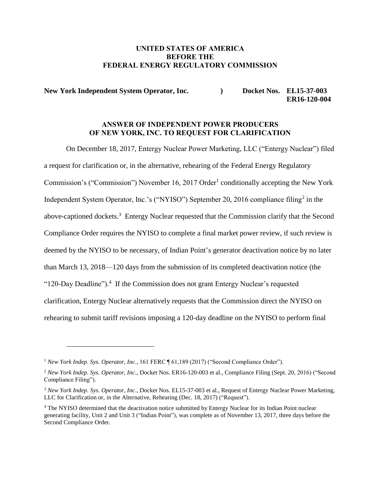### UNITED STATES OF AMERICA BEFORE THE FEDERAL ENERGY REGULATORY COMMISSION

New York Independent System Operator, Inc. (a) Docket Nos. EL15-37-003  **ER16-120-004**

#### ANSWER OF INDEPENDENT POWER PRODUCERS OF NEW YORK, INC. TO REQUEST FOR CLARIFICATION

On December 18, 2017, Entergy Nuclear Power Marketing, LLC ("Entergy Nuclear") filed a request for clarification or, in the alternative, rehearing of the Federal Energy Regulatory Commission's ("Commission") November 16, 2017 Order<sup>1</sup> conditionally accepting the New York Independent System Operator, Inc.'s ("NYISO") September 20, 2016 compliance filing<sup>2</sup> in the above-captioned dockets.<sup>3</sup> Entergy Nuclear requested that the Commission clarify that the Second Compliance Order requires the NYISO to complete a final market power review, if such review is deemed by the NYISO to be necessary, of Indian Point's generator deactivation notice by no later than March 13, 2018—120 days from the submission of its completed deactivation notice (the "120-Day Deadline").<sup>4</sup> If the Commission does not grant Entergy Nuclear's requested clarification, Entergy Nuclear alternatively requests that the Commission direct the NYISO on rehearing to submit tariff revisions imposing a 120-day deadline on the NYISO to perform final

<sup>1</sup> *New York Indep. Sys. Operator, Inc*., 161 FERC ¶ 61,189 (2017) ("Second Compliance Order").

<sup>2</sup> *New York Indep. Sys. Operator, Inc*., Docket Nos. ER16-120-003 et al., Compliance Filing (Sept. 20, 2016) ("Second Compliance Filing").

<sup>3</sup> *New York Indep. Sys. Operator, Inc*., Docket Nos. EL15-37-003 et al., Request of Entergy Nuclear Power Marketing, LLC for Clarification or, in the Alternative, Rehearing (Dec. 18, 2017) ("Request").

<sup>4</sup> The NYISO determined that the deactivation notice submitted by Entergy Nuclear for its Indian Point nuclear generating facility, Unit 2 and Unit 3 ("Indian Point"), was complete as of November 13, 2017, three days before the Second Compliance Order.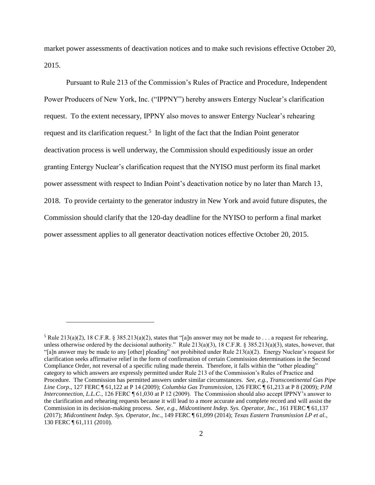market power assessments of deactivation notices and to make such revisions effective October 20, 2015.

Pursuant to Rule 213 of the Commission's Rules of Practice and Procedure, Independent Power Producers of New York, Inc. ("IPPNY") hereby answers Entergy Nuclear's clarification request. To the extent necessary, IPPNY also moves to answer Entergy Nuclear's rehearing request and its clarification request.<sup>5</sup> In light of the fact that the Indian Point generator deactivation process is well underway, the Commission should expeditiously issue an order granting Entergy Nuclear's clarification request that the NYISO must perform its final market power assessment with respect to Indian Point's deactivation notice by no later than March 13, 2018. To provide certainty to the generator industry in New York and avoid future disputes, the Commission should clarify that the 120-day deadline for the NYISO to perform a final market power assessment applies to all generator deactivation notices effective October 20, 2015.

<sup>&</sup>lt;sup>5</sup> Rule 213(a)(2), 18 C.F.R. § 385.213(a)(2), states that "[a]n answer may not be made to . . . a request for rehearing, unless otherwise ordered by the decisional authority." Rule  $213(a)(3)$ , 18 C.F.R. § 385.213(a)(3), states, however, that "[a]n answer may be made to any [other] pleading" not prohibited under Rule 213(a)(2). Energy Nuclear's request for clarification seeks affirmative relief in the form of confirmation of certain Commission determinations in the Second Compliance Order, not reversal of a specific ruling made therein. Therefore, it falls within the "other pleading" category to which answers are expressly permitted under Rule 213 of the Commission's Rules of Practice and Procedure. The Commission has permitted answers under similar circumstances*. See, e.g.*, *Transcontinental Gas Pipe Line Corp*., 127 FERC ¶ 61,122 at P 14 (2009); *Columbia Gas Transmission*, 126 FERC ¶ 61,213 at P 8 (2009); *PJM Interconnection, L.L.C.*, 126 FERC ¶ 61,030 at P 12 (2009). The Commission should also accept IPPNY's answer to the clarification and rehearing requests because it will lead to a more accurate and complete record and will assist the Commission in its decision-making process. *See, e.g.*, *Midcontinent Indep. Sys. Operator, Inc.*, 161 FERC ¶ 61,137 (2017); *Midcontinent Indep. Sys. Operator, Inc.*, 149 FERC ¶ 61,099 (2014); *Texas Eastern Transmission LP et al.*, 130 FERC ¶ 61,111 (2010).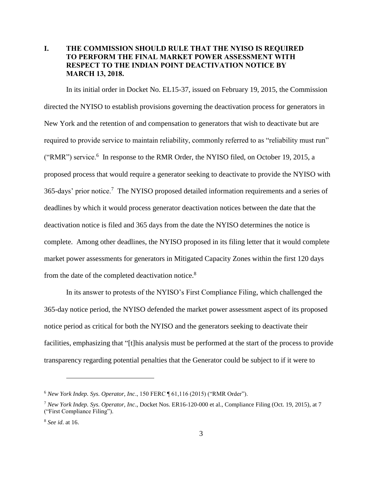### **I.** THE COMMISSION SHOULD RULE THAT THE NYISO IS REQUIRED TO PERFORM THE FINAL MARKET POWER ASSESSMENT WITH RESPECT TO THE INDIAN POINT DEACTIVATION NOTICE BY MARCH 13, 2018.

In its initial order in Docket No. EL15-37, issued on February 19, 2015, the Commission directed the NYISO to establish provisions governing the deactivation process for generators in New York and the retention of and compensation to generators that wish to deactivate but are required to provide service to maintain reliability, commonly referred to as "reliability must run" ("RMR") service.<sup>6</sup> In response to the RMR Order, the NYISO filed, on October 19, 2015, a proposed process that would require a generator seeking to deactivate to provide the NYISO with 365-days' prior notice.<sup>7</sup> The NYISO proposed detailed information requirements and a series of deadlines by which it would process generator deactivation notices between the date that the deactivation notice is filed and 365 days from the date the NYISO determines the notice is complete. Among other deadlines, the NYISO proposed in its filing letter that it would complete market power assessments for generators in Mitigated Capacity Zones within the first 120 days from the date of the completed deactivation notice.<sup>8</sup>

In its answer to protests of the NYISO's First Compliance Filing, which challenged the 365-day notice period, the NYISO defended the market power assessment aspect of its proposed notice period as critical for both the NYISO and the generators seeking to deactivate their facilities, emphasizing that "[t]his analysis must be performed at the start of the process to provide transparency regarding potential penalties that the Generator could be subject to if it were to

<sup>6</sup> *New York Indep. Sys. Operator, Inc*., 150 FERC ¶ 61,116 (2015) ("RMR Order").

<sup>7</sup> *New York Indep. Sys. Operator, Inc*., Docket Nos. ER16-120-000 et al., Compliance Filing (Oct. 19, 2015), at 7 ("First Compliance Filing").

<sup>8</sup> *See id*. at 16.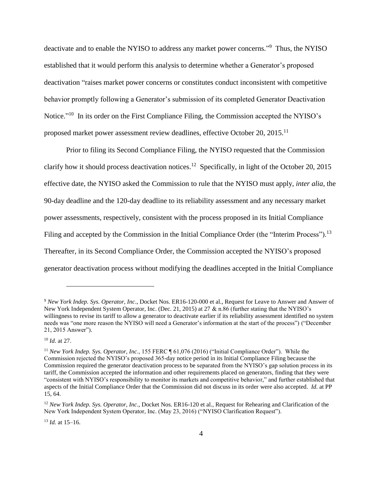deactivate and to enable the NYISO to address any market power concerns."<sup>9</sup> Thus, the NYISO established that it would perform this analysis to determine whether a Generator's proposed deactivation "raises market power concerns or constitutes conduct inconsistent with competitive behavior promptly following a Generator's submission of its completed Generator Deactivation Notice."<sup>10</sup> In its order on the First Compliance Filing, the Commission accepted the NYISO's proposed market power assessment review deadlines, effective October 20, 2015.<sup>11</sup>

Prior to filing its Second Compliance Filing, the NYISO requested that the Commission clarify how it should process deactivation notices.<sup>12</sup> Specifically, in light of the October 20, 2015 effective date, the NYISO asked the Commission to rule that the NYISO must apply, *inter alia*, the 90-day deadline and the 120-day deadline to its reliability assessment and any necessary market power assessments, respectively, consistent with the process proposed in its Initial Compliance Filing and accepted by the Commission in the Initial Compliance Order (the "Interim Process").<sup>13</sup> Thereafter, in its Second Compliance Order, the Commission accepted the NYISO's proposed generator deactivation process without modifying the deadlines accepted in the Initial Compliance

 $\overline{a}$ 

<sup>13</sup> *Id.* at 15–16.

<sup>9</sup> *New York Indep. Sys. Operator, Inc*., Docket Nos. ER16-120-000 et al., Request for Leave to Answer and Answer of New York Independent System Operator, Inc. (Dec. 21, 2015) at 27 & n.86 (further stating that the NYISO's willingness to revise its tariff to allow a generator to deactivate earlier if its reliability assessment identified no system needs was "one more reason the NYISO will need a Generator's information at the start of the process") ("December 21, 2015 Answer").

<sup>10</sup> *Id*. at 27.

<sup>11</sup> *New York Indep. Sys. Operator, Inc*., 155 FERC ¶ 61,076 (2016) ("Initial Compliance Order"). While the Commission rejected the NYISO's proposed 365-day notice period in its Initial Compliance Filing because the Commission required the generator deactivation process to be separated from the NYISO's gap solution process in its tariff, the Commission accepted the information and other requirements placed on generators, finding that they were "consistent with NYISO's responsibility to monitor its markets and competitive behavior," and further established that aspects of the Initial Compliance Order that the Commission did not discuss in its order were also accepted. *Id*. at PP 15, 64.

<sup>12</sup> *New York Indep. Sys. Operator, Inc*., Docket Nos. ER16-120 et al., Request for Rehearing and Clarification of the New York Independent System Operator, Inc. (May 23, 2016) ("NYISO Clarification Request").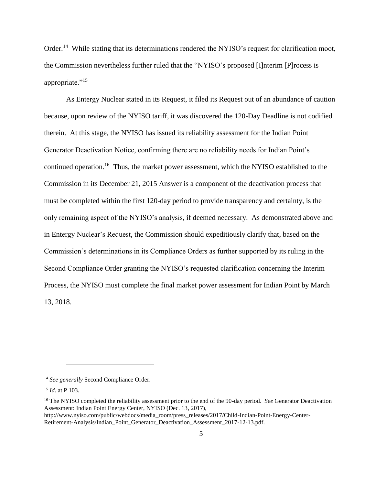Order.<sup>14</sup> While stating that its determinations rendered the NYISO's request for clarification moot, the Commission nevertheless further ruled that the "NYISO's proposed [I]nterim [P]rocess is appropriate."<sup>15</sup>

As Entergy Nuclear stated in its Request, it filed its Request out of an abundance of caution because, upon review of the NYISO tariff, it was discovered the 120-Day Deadline is not codified therein. At this stage, the NYISO has issued its reliability assessment for the Indian Point Generator Deactivation Notice, confirming there are no reliability needs for Indian Point's continued operation.<sup>16</sup> Thus, the market power assessment, which the NYISO established to the Commission in its December 21, 2015 Answer is a component of the deactivation process that must be completed within the first 120-day period to provide transparency and certainty, is the only remaining aspect of the NYISO's analysis, if deemed necessary. As demonstrated above and in Entergy Nuclear's Request, the Commission should expeditiously clarify that, based on the Commission's determinations in its Compliance Orders as further supported by its ruling in the Second Compliance Order granting the NYISO's requested clarification concerning the Interim Process, the NYISO must complete the final market power assessment for Indian Point by March 13, 2018.

<sup>14</sup> *See generally* Second Compliance Order.

<sup>15</sup> *Id*. at P 103.

<sup>16</sup> The NYISO completed the reliability assessment prior to the end of the 90-day period. *See* Generator Deactivation Assessment: Indian Point Energy Center, NYISO (Dec. 13, 2017),

http://www.nyiso.com/public/webdocs/media\_room/press\_releases/2017/Child-Indian-Point-Energy-Center-Retirement-Analysis/Indian\_Point\_Generator\_Deactivation\_Assessment\_2017-12-13.pdf.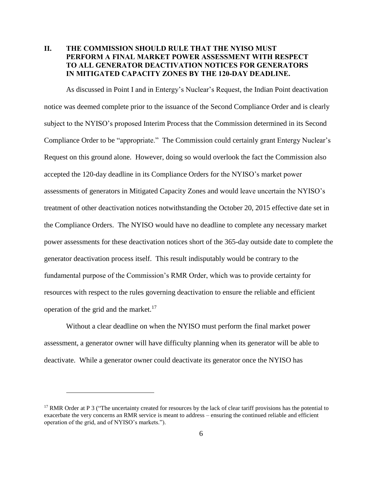## **II.** THE COMMISSION SHOULD RULE THAT THE NYISO MUST PERFORM A FINAL MARKET POWER ASSESSMENT WITH RESPECT TO ALL GENERATOR DEACTIVATION NOTICES FOR GENERATORS IN MITIGATED CAPACITY ZONES BY THE 120-DAY DEADLINE.

As discussed in Point I and in Entergy's Nuclear's Request, the Indian Point deactivation notice was deemed complete prior to the issuance of the Second Compliance Order and is clearly subject to the NYISO's proposed Interim Process that the Commission determined in its Second Compliance Order to be "appropriate." The Commission could certainly grant Entergy Nuclear's Request on this ground alone. However, doing so would overlook the fact the Commission also accepted the 120-day deadline in its Compliance Orders for the NYISO's market power assessments of generators in Mitigated Capacity Zones and would leave uncertain the NYISO's treatment of other deactivation notices notwithstanding the October 20, 2015 effective date set in the Compliance Orders. The NYISO would have no deadline to complete any necessary market power assessments for these deactivation notices short of the 365-day outside date to complete the generator deactivation process itself. This result indisputably would be contrary to the fundamental purpose of the Commission's RMR Order, which was to provide certainty for resources with respect to the rules governing deactivation to ensure the reliable and efficient operation of the grid and the market. $17$ 

Without a clear deadline on when the NYISO must perform the final market power assessment, a generator owner will have difficulty planning when its generator will be able to deactivate. While a generator owner could deactivate its generator once the NYISO has

<sup>&</sup>lt;sup>17</sup> RMR Order at P 3 ("The uncertainty created for resources by the lack of clear tariff provisions has the potential to exacerbate the very concerns an RMR service is meant to address – ensuring the continued reliable and efficient operation of the grid, and of NYISO's markets.").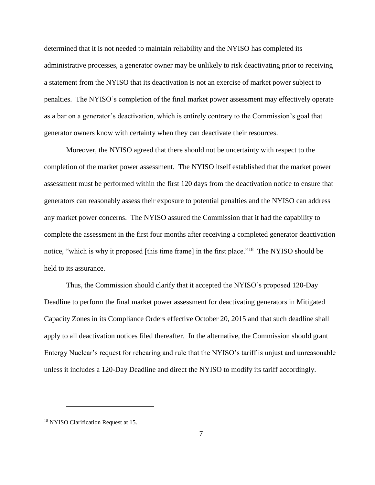determined that it is not needed to maintain reliability and the NYISO has completed its administrative processes, a generator owner may be unlikely to risk deactivating prior to receiving a statement from the NYISO that its deactivation is not an exercise of market power subject to penalties. The NYISO's completion of the final market power assessment may effectively operate as a bar on a generator's deactivation, which is entirely contrary to the Commission's goal that generator owners know with certainty when they can deactivate their resources.

Moreover, the NYISO agreed that there should not be uncertainty with respect to the completion of the market power assessment. The NYISO itself established that the market power assessment must be performed within the first 120 days from the deactivation notice to ensure that generators can reasonably assess their exposure to potential penalties and the NYISO can address any market power concerns. The NYISO assured the Commission that it had the capability to complete the assessment in the first four months after receiving a completed generator deactivation notice, "which is why it proposed [this time frame] in the first place."<sup>18</sup> The NYISO should be held to its assurance.

Thus, the Commission should clarify that it accepted the NYISO's proposed 120-Day Deadline to perform the final market power assessment for deactivating generators in Mitigated Capacity Zones in its Compliance Orders effective October 20, 2015 and that such deadline shall apply to all deactivation notices filed thereafter. In the alternative, the Commission should grant Entergy Nuclear's request for rehearing and rule that the NYISO's tariff is unjust and unreasonable unless it includes a 120-Day Deadline and direct the NYISO to modify its tariff accordingly.

<sup>18</sup> NYISO Clarification Request at 15.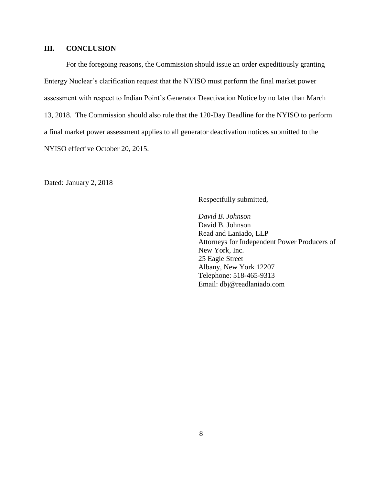### **III. CONCLUSION**

For the foregoing reasons, the Commission should issue an order expeditiously granting Entergy Nuclear's clarification request that the NYISO must perform the final market power assessment with respect to Indian Point's Generator Deactivation Notice by no later than March 13, 2018. The Commission should also rule that the 120-Day Deadline for the NYISO to perform a final market power assessment applies to all generator deactivation notices submitted to the NYISO effective October 20, 2015.

Dated: January 2, 2018

Respectfully submitted,

*David B. Johnson* David B. Johnson Read and Laniado, LLP Attorneys for Independent Power Producers of New York, Inc. 25 Eagle Street Albany, New York 12207 Telephone: 518-465-9313 Email: dbj@readlaniado.com